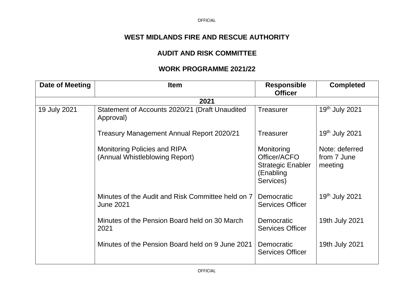## **WEST MIDLANDS FIRE AND RESCUE AUTHORITY**

## **AUDIT AND RISK COMMITTEE**

## **WORK PROGRAMME 2021/22**

| Date of Meeting | <b>Item</b>                                                           | <b>Responsible</b><br><b>Officer</b>                                             | <b>Completed</b>                         |
|-----------------|-----------------------------------------------------------------------|----------------------------------------------------------------------------------|------------------------------------------|
|                 | 2021                                                                  |                                                                                  |                                          |
| 19 July 2021    | Statement of Accounts 2020/21 (Draft Unaudited<br>Approval)           | Treasurer                                                                        | 19th July 2021                           |
|                 | Treasury Management Annual Report 2020/21                             | <b>Treasurer</b>                                                                 | 19 <sup>th</sup> July 2021               |
|                 | <b>Monitoring Policies and RIPA</b><br>(Annual Whistleblowing Report) | Monitoring<br>Officer/ACFO<br><b>Strategic Enabler</b><br>(Enabling<br>Services) | Note: deferred<br>from 7 June<br>meeting |
|                 | Minutes of the Audit and Risk Committee held on 7<br><b>June 2021</b> | Democratic<br>Services Officer                                                   | 19 <sup>th</sup> July 2021               |
|                 | Minutes of the Pension Board held on 30 March<br>2021                 | <b>Democratic</b><br><b>Services Officer</b>                                     | 19th July 2021                           |
|                 | Minutes of the Pension Board held on 9 June 2021                      | Democratic<br><b>Services Officer</b>                                            | 19th July 2021                           |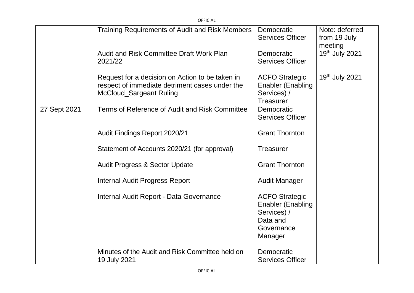|              | <b>OFFICIAL</b>                                                                                                                     |                                                                                                       |                                           |
|--------------|-------------------------------------------------------------------------------------------------------------------------------------|-------------------------------------------------------------------------------------------------------|-------------------------------------------|
|              | Training Requirements of Audit and Risk Members                                                                                     | Democratic<br><b>Services Officer</b>                                                                 | Note: deferred<br>from 19 July<br>meeting |
|              | <b>Audit and Risk Committee Draft Work Plan</b><br>2021/22                                                                          | Democratic<br><b>Services Officer</b>                                                                 | 19th July 2021                            |
|              | Request for a decision on Action to be taken in<br>respect of immediate detriment cases under the<br><b>McCloud_Sargeant Ruling</b> | <b>ACFO Strategic</b><br><b>Enabler (Enabling</b><br>Services) /<br><b>Treasurer</b>                  | 19th July 2021                            |
| 27 Sept 2021 | Terms of Reference of Audit and Risk Committee                                                                                      | Democratic<br><b>Services Officer</b>                                                                 |                                           |
|              | Audit Findings Report 2020/21                                                                                                       | <b>Grant Thornton</b>                                                                                 |                                           |
|              | Statement of Accounts 2020/21 (for approval)                                                                                        | <b>Treasurer</b>                                                                                      |                                           |
|              | <b>Audit Progress &amp; Sector Update</b>                                                                                           | <b>Grant Thornton</b>                                                                                 |                                           |
|              | <b>Internal Audit Progress Report</b>                                                                                               | <b>Audit Manager</b>                                                                                  |                                           |
|              | Internal Audit Report - Data Governance                                                                                             | <b>ACFO Strategic</b><br><b>Enabler (Enabling</b><br>Services) /<br>Data and<br>Governance<br>Manager |                                           |
|              | Minutes of the Audit and Risk Committee held on<br>19 July 2021                                                                     | Democratic<br><b>Services Officer</b>                                                                 |                                           |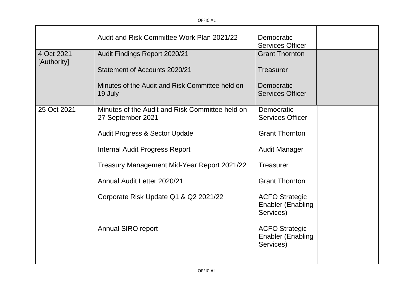|             | Audit and Risk Committee Work Plan 2021/22                           | Democratic<br><b>Services Officer</b>                          |  |
|-------------|----------------------------------------------------------------------|----------------------------------------------------------------|--|
| 4 Oct 2021  | Audit Findings Report 2020/21                                        | <b>Grant Thornton</b>                                          |  |
| [Authority] | Statement of Accounts 2020/21                                        | Treasurer                                                      |  |
|             | Minutes of the Audit and Risk Committee held on<br>19 July           | Democratic<br><b>Services Officer</b>                          |  |
| 25 Oct 2021 | Minutes of the Audit and Risk Committee held on<br>27 September 2021 | Democratic<br><b>Services Officer</b>                          |  |
|             | <b>Audit Progress &amp; Sector Update</b>                            | <b>Grant Thornton</b>                                          |  |
|             | <b>Internal Audit Progress Report</b>                                | <b>Audit Manager</b>                                           |  |
|             | Treasury Management Mid-Year Report 2021/22                          | <b>Treasurer</b>                                               |  |
|             | Annual Audit Letter 2020/21                                          | <b>Grant Thornton</b>                                          |  |
|             | Corporate Risk Update Q1 & Q2 2021/22                                | <b>ACFO Strategic</b><br><b>Enabler (Enabling</b><br>Services) |  |
|             | <b>Annual SIRO report</b>                                            | <b>ACFO Strategic</b><br><b>Enabler (Enabling</b><br>Services) |  |
|             |                                                                      |                                                                |  |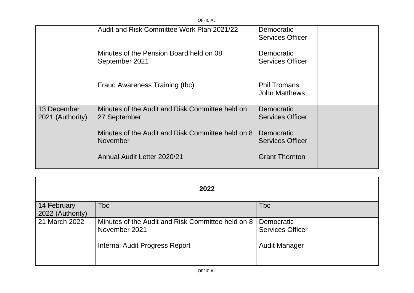|                                 | <b>OFFICIAL</b>                                                      |                                              |
|---------------------------------|----------------------------------------------------------------------|----------------------------------------------|
|                                 | Audit and Risk Committee Work Plan 2021/22                           | Democratic<br><b>Services Officer</b>        |
|                                 | Minutes of the Pension Board held on 08<br>September 2021            | <b>Democratic</b><br><b>Services Officer</b> |
|                                 | Fraud Awareness Training (tbc)                                       | <b>Phil Tromans</b><br><b>John Matthews</b>  |
| 13 December<br>2021 (Authority) | Minutes of the Audit and Risk Committee held on<br>27 September      | <b>Democratic</b><br><b>Services Officer</b> |
|                                 | Minutes of the Audit and Risk Committee held on 8<br><b>November</b> | <b>Democratic</b><br><b>Services Officer</b> |
|                                 | Annual Audit Letter 2020/21                                          | <b>Grant Thornton</b>                        |

| 2022             |                                                                    |                                       |  |
|------------------|--------------------------------------------------------------------|---------------------------------------|--|
| 14 February      | <b>Tbc</b>                                                         | <b>Tbc</b>                            |  |
| 2022 (Authority) |                                                                    |                                       |  |
| 21 March 2022    | Minutes of the Audit and Risk Committee held on 8<br>November 2021 | Democratic<br><b>Services Officer</b> |  |
|                  | <b>Internal Audit Progress Report</b>                              | <b>Audit Manager</b>                  |  |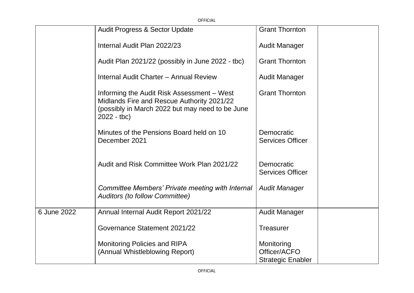|             | OFFICIAL                                                                                                                                                    |                                                        |
|-------------|-------------------------------------------------------------------------------------------------------------------------------------------------------------|--------------------------------------------------------|
|             | <b>Audit Progress &amp; Sector Update</b>                                                                                                                   | <b>Grant Thornton</b>                                  |
|             | Internal Audit Plan 2022/23                                                                                                                                 | <b>Audit Manager</b>                                   |
|             | Audit Plan 2021/22 (possibly in June 2022 - tbc)                                                                                                            | <b>Grant Thornton</b>                                  |
|             | Internal Audit Charter - Annual Review                                                                                                                      | <b>Audit Manager</b>                                   |
|             | Informing the Audit Risk Assessment – West<br>Midlands Fire and Rescue Authority 2021/22<br>(possibly in March 2022 but may need to be June<br>$2022 - tbc$ | <b>Grant Thornton</b>                                  |
|             | Minutes of the Pensions Board held on 10<br>December 2021                                                                                                   | Democratic<br><b>Services Officer</b>                  |
|             | Audit and Risk Committee Work Plan 2021/22                                                                                                                  | Democratic<br><b>Services Officer</b>                  |
|             | Committee Members' Private meeting with Internal<br><b>Auditors (to follow Committee)</b>                                                                   | <b>Audit Manager</b>                                   |
| 6 June 2022 | Annual Internal Audit Report 2021/22                                                                                                                        | <b>Audit Manager</b>                                   |
|             | Governance Statement 2021/22                                                                                                                                | <b>Treasurer</b>                                       |
|             | <b>Monitoring Policies and RIPA</b><br>(Annual Whistleblowing Report)                                                                                       | Monitoring<br>Officer/ACFO<br><b>Strategic Enabler</b> |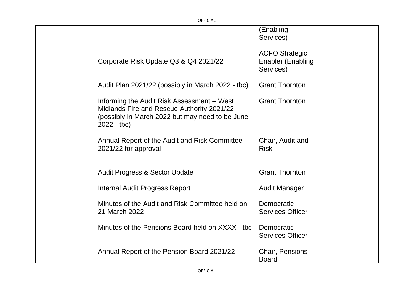|                                                                                                                                                             | (Enabling<br>Services)                                         |
|-------------------------------------------------------------------------------------------------------------------------------------------------------------|----------------------------------------------------------------|
| Corporate Risk Update Q3 & Q4 2021/22                                                                                                                       | <b>ACFO Strategic</b><br><b>Enabler (Enabling</b><br>Services) |
| Audit Plan 2021/22 (possibly in March 2022 - tbc)                                                                                                           | <b>Grant Thornton</b>                                          |
| Informing the Audit Risk Assessment - West<br>Midlands Fire and Rescue Authority 2021/22<br>(possibly in March 2022 but may need to be June<br>$2022 - tbc$ | <b>Grant Thornton</b>                                          |
| Annual Report of the Audit and Risk Committee<br>2021/22 for approval                                                                                       | Chair, Audit and<br><b>Risk</b>                                |
| <b>Audit Progress &amp; Sector Update</b>                                                                                                                   | <b>Grant Thornton</b>                                          |
| <b>Internal Audit Progress Report</b>                                                                                                                       | <b>Audit Manager</b>                                           |
| Minutes of the Audit and Risk Committee held on<br>21 March 2022                                                                                            | Democratic<br><b>Services Officer</b>                          |
| Minutes of the Pensions Board held on XXXX - tbc                                                                                                            | Democratic<br><b>Services Officer</b>                          |
| Annual Report of the Pension Board 2021/22                                                                                                                  | Chair, Pensions<br><b>Board</b>                                |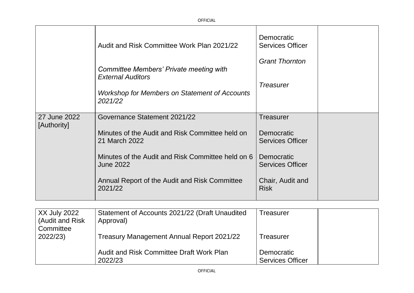|              | Audit and Risk Committee Work Plan 2021/22                            | Democratic<br><b>Services Officer</b>        |
|--------------|-----------------------------------------------------------------------|----------------------------------------------|
|              | Committee Members' Private meeting with<br><b>External Auditors</b>   | <b>Grant Thornton</b>                        |
|              | <b>Workshop for Members on Statement of Accounts</b><br>2021/22       | <b>Treasurer</b>                             |
| 27 June 2022 | Governance Statement 2021/22                                          | Treasurer                                    |
| [Authority]  | Minutes of the Audit and Risk Committee held on<br>21 March 2022      | <b>Democratic</b><br><b>Services Officer</b> |
|              | Minutes of the Audit and Risk Committee held on 6<br><b>June 2022</b> | <b>Democratic</b><br><b>Services Officer</b> |
|              | Annual Report of the Audit and Risk Committee<br>2021/22              | Chair, Audit and<br><b>Risk</b>              |

| $\overline{\phantom{a}}$ XX July 2022<br>(Audit and Risk) | Statement of Accounts 2021/22 (Draft Unaudited<br>Approval) | Treasurer                             |
|-----------------------------------------------------------|-------------------------------------------------------------|---------------------------------------|
| Committee<br>2022/23)                                     | Treasury Management Annual Report 2021/22                   | Treasurer                             |
|                                                           | Audit and Risk Committee Draft Work Plan<br>2022/23         | Democratic<br><b>Services Officer</b> |